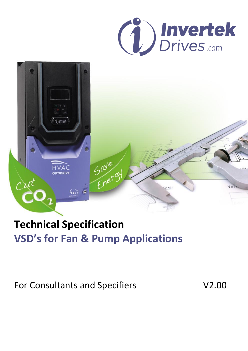



# **Technical Specification VSD's for Fan & Pump Applications**

For Consultants and Specifiers V2.00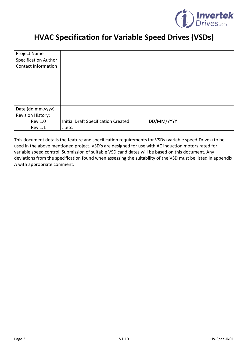

# **HVAC Specification for Variable Speed Drives (VSDs)**

| Project Name                |                                     |            |
|-----------------------------|-------------------------------------|------------|
| <b>Specification Author</b> |                                     |            |
| <b>Contact Information</b>  |                                     |            |
|                             |                                     |            |
|                             |                                     |            |
|                             |                                     |            |
|                             |                                     |            |
|                             |                                     |            |
|                             |                                     |            |
| Date (dd.mm.yyyy)           |                                     |            |
| Revision History:           |                                     |            |
| <b>Rev 1.0</b>              | Initial Draft Specification Created | DD/MM/YYYY |
| <b>Rev 1.1</b>              | etc.                                |            |

This document details the feature and specification requirements for VSDs (variable speed Drives) to be used in the above mentioned project. VSD's are designed for use with AC induction motors rated for variable speed control. Submission of suitable VSD candidates will be based on this document. Any deviations from the specification found when assessing the suitability of the VSD must be listed in appendix A with appropriate comment.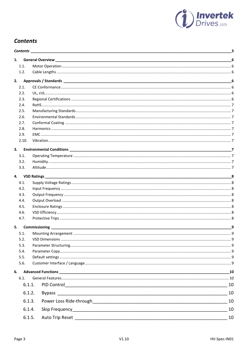

# <span id="page-2-0"></span>**Contents**

|    |       |                                                                                                                          | $\overline{\mathbf{3}}$ |
|----|-------|--------------------------------------------------------------------------------------------------------------------------|-------------------------|
|    | 1.    |                                                                                                                          | 6                       |
|    | 1.1.  |                                                                                                                          |                         |
|    | 1.2.  |                                                                                                                          |                         |
|    | 2.    |                                                                                                                          | 6                       |
|    | 2.1.  |                                                                                                                          |                         |
|    | 2.2.  |                                                                                                                          |                         |
|    | 2.3.  |                                                                                                                          |                         |
|    | 2.4.  |                                                                                                                          |                         |
|    | 2.5.  |                                                                                                                          |                         |
|    | 2.6.  |                                                                                                                          |                         |
|    | 2.7.  |                                                                                                                          |                         |
|    | 2.8.  |                                                                                                                          |                         |
|    | 2.9.  |                                                                                                                          |                         |
|    | 2.10. |                                                                                                                          |                         |
|    | 3.    |                                                                                                                          |                         |
|    | 3.1.  |                                                                                                                          |                         |
|    | 3.2.  |                                                                                                                          |                         |
|    | 3.3.  |                                                                                                                          |                         |
|    |       | 4. VSD Ratings                                                                                                           |                         |
|    | 4.1.  |                                                                                                                          |                         |
|    | 4.2.  |                                                                                                                          |                         |
|    | 4.3.  |                                                                                                                          |                         |
|    | 4.4.  |                                                                                                                          |                         |
|    | 4.5.  |                                                                                                                          |                         |
|    | 4.6.  |                                                                                                                          |                         |
|    | 4.7.  |                                                                                                                          |                         |
|    | 5.    |                                                                                                                          | 9                       |
|    | 5.1.  |                                                                                                                          |                         |
|    | 5.2.  |                                                                                                                          |                         |
|    | 5.3.  |                                                                                                                          |                         |
|    | 5.4.  |                                                                                                                          |                         |
|    | 5.5.  |                                                                                                                          |                         |
|    | 5.6.  |                                                                                                                          |                         |
| 6. |       |                                                                                                                          |                         |
|    | 6.1.  |                                                                                                                          |                         |
|    |       | 6.1.1.                                                                                                                   |                         |
|    |       | 6.1.2.                                                                                                                   |                         |
|    |       | Power Loss Ride-through Manual Manual Manual Manual Manual Manual Manual Manual Manual Manual Manual Manual Ma<br>6.1.3. | 10                      |
|    |       | 6.1.4.                                                                                                                   | 10                      |
|    |       | 6.1.5.                                                                                                                   | 10                      |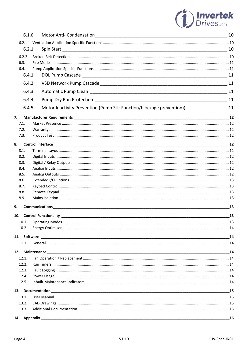

| 6.1.6.         |                                                                                             |    |
|----------------|---------------------------------------------------------------------------------------------|----|
| 6.2.           |                                                                                             |    |
| 6.2.1.         |                                                                                             |    |
| 6.2.2.         |                                                                                             |    |
| 6.3.           |                                                                                             |    |
| 6.4.           |                                                                                             |    |
| 6.4.1.         |                                                                                             |    |
| 6.4.2.         |                                                                                             |    |
| 6.4.3.         |                                                                                             | 11 |
| 6.4.4.         |                                                                                             |    |
| 6.4.5.         | Motor Inactivity Prevention (Pump Stir Function/blockage prevention)) ___________________11 |    |
| 7.             |                                                                                             |    |
| 7.1.           |                                                                                             |    |
| 7.2.           |                                                                                             |    |
| 7.3.           |                                                                                             |    |
| 8.             |                                                                                             |    |
| 8.1.           |                                                                                             |    |
| 8.2.           |                                                                                             |    |
| 8.3.           |                                                                                             |    |
| 8.4.           |                                                                                             |    |
| 8.5.           |                                                                                             |    |
| 8.6.<br>8.7.   |                                                                                             |    |
| 8.8.           |                                                                                             |    |
| 8.9.           |                                                                                             |    |
| 9.             | <b>Communications</b>                                                                       | 13 |
|                |                                                                                             |    |
|                |                                                                                             | 13 |
| 10.1.<br>10.2. |                                                                                             |    |
|                |                                                                                             |    |
|                |                                                                                             | 14 |
| 11.1.          |                                                                                             |    |
|                |                                                                                             | 14 |
| 12.1.          |                                                                                             |    |
| 12.2.          |                                                                                             |    |
| 12.3.          |                                                                                             |    |
| 12.4.          |                                                                                             |    |
| 12.5.          |                                                                                             |    |
|                |                                                                                             | 15 |
| 13.1.          |                                                                                             |    |
| 13.2.          |                                                                                             |    |
| 13.3.          |                                                                                             |    |
|                |                                                                                             | 16 |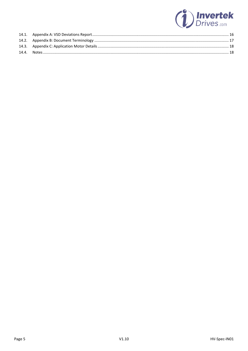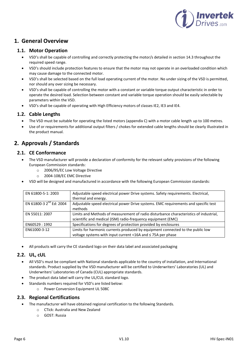

# <span id="page-5-0"></span>**1. General Overview**

#### <span id="page-5-1"></span>**1.1. Motor Operation**

- VSD's shall be capable of controlling and correctly protecting the motor/s detailed in section 14.3 throughout the required speed range.
- VSD's should include protection features to ensure that the motor may not operate in an overloaded condition which may cause damage to the connected motor.
- VSD's shall be selected based on the full load operating current of the motor. No under sizing of the VSD is permitted, nor should any over sizing be necessary.
- VSD's shall be capable of controlling the motor with a constant or variable torque output characteristic in order to operate the desired load. Selection between constant and variable torque operation should be easily selectable by parameters within the VSD.
- VSD's shall be capable of operating with High Efficiency motors of classes IE2, IE3 and IE4.

#### <span id="page-5-2"></span>**1.2. Cable Lengths**

- The VSD must be suitable for operating the listed motors (appendix C) with a motor cable length up to 100 metres.
- Use of or requirements for additional output filters / chokes for extended cable lengths should be clearly illustrated in the product manual.

# <span id="page-5-3"></span>**2. Approvals / Standards**

#### <span id="page-5-4"></span>**2.1. CE Conformance**

- The VSD manufacturer will provide a declaration of conformity for the relevant safety provisions of the following European Commission standards:
	- o 2006/95/EC Low Voltage Directive
	- o 2004-108/EC EMC Directive
- VSD will be designed and manufactured in accordance with the following European Commission standards:

| EN 61800-5-1: 2003                  | Adjustable speed electrical power Drive systems. Safety requirements. Electrical,     |
|-------------------------------------|---------------------------------------------------------------------------------------|
|                                     | thermal and energy.                                                                   |
| EN 61800-3 2 <sup>nd</sup> Ed: 2004 | Adjustable speed electrical power Drive systems. EMC requirements and specific test   |
|                                     | methods                                                                               |
| EN 55011: 2007                      | Limits and Methods of measurement of radio disturbance characteristics of industrial, |
|                                     | scientific and medical (ISM) radio-frequency equipment (EMC)                          |
| EN60529:1992                        | Specifications for degrees of protection provided by enclosures                       |
| EN61000-3-12                        | Limits for harmonic currents produced by equipment connected to the public low        |
|                                     | voltage systems with input current <16A and ≤75A per phase                            |

All products will carry the CE standard logo on their data label and associated packaging

#### <span id="page-5-5"></span>**2.2. UL, cUL**

- All VSD's must be compliant with National standards applicable to the country of installation, and International standards. Product supplied by the VSD manufacturer will be certified to Underwriters' Laboratories (UL) and Underwriters' Laboratories of Canada (CUL) appropriate standards.
- The product data label will carry the UL/CUL standard logo.
- Standards numbers required for VSD's are listed below:
	- o Power Conversion Equipment UL 508C

#### <span id="page-5-6"></span>**2.3. Regional Certifications**

- The manufacturer will have obtained regional certification to the following Standards.
	- o CTick: Australia and New Zealand
	- o GOST: Russia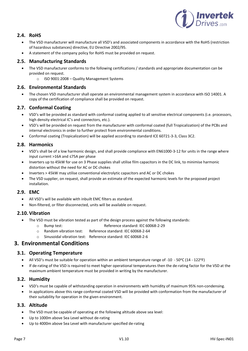

# <span id="page-6-0"></span>**2.4. RoHS**

- The VSD manufacturer will manufacture all VSD's and associated components in accordance with the RoHS (restriction of hazardous substances) directive, EU Directive 2002/95.
- A statement of the company policy for RoHS must be provided on request.

#### <span id="page-6-1"></span>**2.5. Manufacturing Standards**

- The VSD manufacturer conforms to the following certifications / standards and appropriate documentation can be provided on request.
	- o ISO 9001:2008 Quality Management Systems

#### <span id="page-6-2"></span>**2.6. Environmental Standards**

 The chosen VSD manufacturer shall operate an environmental management system in accordance with ISO 14001. A copy of the certification of compliance shall be provided on request.

#### <span id="page-6-3"></span>**2.7. Conformal Coating**

- VSD's will be provided as standard with conformal coating applied to all sensitive electrical components (i.e. processors, high density electrical IC's and connectors, etc.).
- VSD's will be provided on request from the manufacturer with conformal coated (full Tropicalization) of the PCBs and internal electronics in order to further protect from environmental conditions.
- Conformal coating (Tropicalization) will be applied according to standard ICE 60721-3-3, Class 3C2.

#### <span id="page-6-4"></span>**2.8. Harmonics**

- VSD's shall be of a low harmonic design, and shall provide compliance with EN61000-3-12 for units in the range where input current >16A and ≤75A per phase
- Inverters up to 45kW for use on 3 Phase supplies shall utilise film capacitors in the DC link, to minimise harmonic distortion without the need for AC or DC chokes
- Inverters > 45kW may utilise conventional electrolytic capacitors and AC or DC chokes
- The VSD supplier, on request, shall provide an estimate of the expected harmonic levels for the proposed project installation.

#### <span id="page-6-5"></span>**2.9. EMC**

- All VSD's will be available with inbuilt EMC filters as standard.
- Non-filtered, or filter disconnected, units will be available on request.

#### <span id="page-6-6"></span>**2.10. Vibration**

- The VSD must be vibration tested as part of the design process against the following standards:
	- o Bump test: Reference standard: IEC 60068-2-29
		- o Random vibration test: Reference standard: IEC 60068-2-64
		- o Sinusoidal vibration test: Reference standard: IEC 60068-2-6

# <span id="page-6-7"></span>**3. Environmental Conditions**

#### <span id="page-6-8"></span>**3.1. Operating Temperature**

- All VSD's must be suitable for operation within an ambient temperature range of -10  $50^{\circ}$ C (14 122°F)
- If de-rating of the VSD is required to meet higher operational temperatures then the de-rating factor for the VSD at the maximum ambient temperature must be provided in writing by the manufacturer.

#### <span id="page-6-9"></span>**3.2. Humidity**

- VSD's must be capable of withstanding operation in environments with humidity of maximum 95% non-condensing.
- In applications above this range conformal coated VSD will be provided with conformation from the manufacturer of their suitability for operation in the given environment.

#### <span id="page-6-10"></span>**3.3. Altitude**

- The VSD must be capable of operating at the following altitude above sea level:
- Up to 1000m above Sea Level without de-rating
- Up to 4000m above Sea Level with manufacturer specified de-rating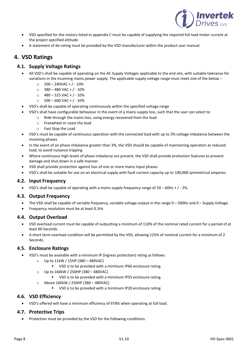

- VSD specified for the motors listed in appendix C must be capable of supplying the required full load motor current at the project specified altitude.
- A statement of de-rating must be provided by the VSD manufacturer within the product user manual.

# <span id="page-7-0"></span>**4. VSD Ratings**

#### <span id="page-7-1"></span>**4.1. Supply Voltage Ratings**

- All VSD's shall be capable of operating on the AC Supply Voltages applicable to the end site, with suitable tolerance for variations in the incoming mains power supply. The applicable supply voltage range must meet one of the below :-
	- $\circ$  200 240VAC + / 10%
	- $\circ$  380 480 VAC + / 10%
	- $\circ$  480 525 VAC + / 10%
	- $\circ$  500 600 VAC + / 10%
- VSD's shall be capable of operating continuously within the specified voltage range
- VSD's shall have configurable behaviour in the event of a mains supply loss, such that the user can select to
	- o Ride through the mains loss, using energy recovered from the load
	- o Freewheel or coast the load
	- o Fast Stop the Load
- VSD's must be capable of continuous operation with the connected load with up to 3% voltage imbalance between the incoming phases
- In the event of an phase imbalance greater than 3%, the VSD should be capable of maintaining operation at reduced load, to avoid nuisance tripping
- Where continuous high levels of phase imbalance are present, the VSD shall provide protection features to prevent damage and shut down in a safe manner.
- VSD shall provide protection against loss of one or more mains input phases
- VSD's shall be suitable for use on an electrical supply with fault current capacity up to 100,000 symmetrical amperes.

#### <span id="page-7-2"></span>**4.2. Input Frequency**

• VSD's shall be capable of operating with a mains supply frequency range of  $50 - 60$ Hz +  $/$  - 2%.

#### <span id="page-7-3"></span>**4.3. Output Frequency**

- The VSD shall be capable of variable frequency, variable voltage output in the range 0 500Hz and 0 Supply Voltage.
- Frequency resolution must be at least 0.1Hz

#### <span id="page-7-4"></span>**4.4. Output Overload**

- VSD overload current must be capable of outputting a minimum of 110% of the nominal rated current for a period of at least 60 Seconds.
- A short term overload condition will be permitted by the VSD, allowing 125% of nominal current for a minimum of 2 Seconds.

#### <span id="page-7-5"></span>**4.5. Enclosure Ratings**

- VSD's must be available with a minimum IP (ingress protection) rating as follows:
	- $O$  Up to 11kW / 15HP (380 480VAC)
		- VSD is to be provided with a minimum IP66 enclosure rating.
	- o Up to 160kW / 250HP (380 480VAC)
		- VSD is to be provided with a minimum IP55 enclosure rating.
	- o Above 160kW / 250HP (380 480VAC)
		- VSD is to be provided with a minimum IP20 enclosure rating.

#### <span id="page-7-6"></span>**4.6. VSD Efficiency**

VSD's offered will have a minimum efficiency of 978% when operating at full load.

#### <span id="page-7-7"></span>**4.7. Protective Trips**

Protection must be provided by the VSD for the following conditions.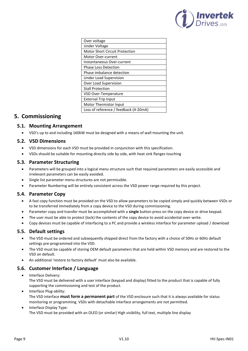

| Over voltage                          |
|---------------------------------------|
| Under Voltage                         |
| <b>Motor Short Circuit Protection</b> |
| <b>Motor Over-current</b>             |
| Instantaneous Over-current            |
| <b>Phase Loss Detection</b>           |
| Phase imbalance detection             |
| Under Load Supervision                |
| Over Load Supervision                 |
| <b>Stall Protection</b>               |
| VSD Over-Temperature                  |
| <b>External Trip Input</b>            |
| Motor Thermistor Input                |
| Loss of reference / feedback (4-20mA) |

# <span id="page-8-0"></span>**5. Commissioning**

#### <span id="page-8-1"></span>**5.1. Mounting Arrangement**

VSD's up to and including 160kW must be designed with a means of wall mounting the unit.

#### <span id="page-8-2"></span>**5.2. VSD Dimensions**

- VSD dimensions for each VSD must be provided in conjunction with this specification.
- VSDs should be suitable for mounting directly side by side, with heat sink flanges touching

#### <span id="page-8-3"></span>**5.3. Parameter Structuring**

- Parameters will be grouped into a logical menu structure such that required parameters are easily accessible and irrelevant parameters can be easily avoided.
- Single list parameter menu structures are not permissible.
- Parameter Numbering will be entirely consistent across the VSD power range required by this project.

#### <span id="page-8-4"></span>**5.4. Parameter Copy**

- A fast copy function must be provided on the VSD to allow parameters to be copied simply and quickly between VSDs or to be transferred immediately from a copy device to the VSD during commissioning.
- Parameter copy and transfer must be accomplished with a **single** button press on the copy device or drive keypad.
- The user must be able to protect (lock) the contents of the copy device to avoid accidental over-write.
- Copy devices must be capable of interfacing to a PC and provide a wireless interface for parameter upload / download

#### <span id="page-8-5"></span>**5.5. Default settings**

- The VSD must be ordered and subsequently shipped direct from the factory with a choice of 50Hz or 60Hz default settings pre-programmed into the VSD.
- The VSD must be capable of storing OEM default parameters that are held within VSD memory and are restored to the VSD on default.
- An additional 'restore to factory default' must also be available.

#### <span id="page-8-6"></span>**5.6. Customer Interface / Language**

- Interface Delivery: The VSD must be delivered with a user interface (keypad and display) fitted to the product that is capable of fully supporting the commissioning and test of the product.
- Interface Plug-ability: The VSD interface **must form a permanent part** of the VSD enclosure such that it is always available for status monitoring or programming. VSDs with detachable interface arrangements are not permitted.
- Interface Display Type:

The VSD must be provided with an OLED (or similar) High visibility, full text, multiple line display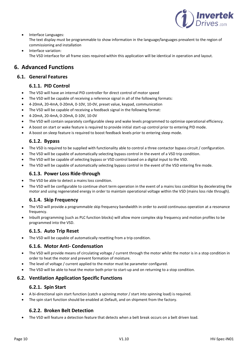

- Interface Languages: The text display must be programmable to show information in the language/languages prevalent to the region of commissioning and installation
- Interface variation: The VSD interface for all frame sizes required within this application will be identical in operation and layout.

# <span id="page-9-0"></span>**6. Advanced Functions**

#### <span id="page-9-2"></span><span id="page-9-1"></span>**6.1. General Features**

#### **6.1.1. PID Control**

- The VSD will have an internal PID controller for direct control of motor speed
- The VSD will be capable of receiving a reference signal in all of the following formats:
- 4-20mA, 20-4mA, 0-20mA, 0-10V, 10-0V, preset value, keypad, communication
- The VSD will be capable of receiving a feedback signal in the following format:
- 4-20mA, 20-4mA, 0-20mA, 0-10V, 10-0V
- The VSD will contain separately configurable sleep and wake levels programmed to optimise operational efficiency.
- A boost on start or wake feature is required to provide initial start-up control prior to entering PID mode.
- <span id="page-9-3"></span>A boost on sleep feature is required to boost feedback levels prior to entering sleep mode.

## **6.1.2. Bypass**

- The VSD is required to be supplied with functionality able to control a three contactor bypass circuit / configuration.
- The VSD will be capable of automatically selecting bypass control in the event of a VSD trip condition.
- The VSD will be capable of selecting bypass or VSD control based on a digital input to the VSD.
- <span id="page-9-4"></span>The VSD will be capable of automatically selecting bypass control in the event of the VSD entering fire mode.

## **6.1.3. Power Loss Ride-through**

- The VSD be able to detect a mains loss condition.
- The VSD will be configurable to continue short term operation in the event of a mains loss condition by decelerating the motor and using regenerated energy in order to maintain operational voltage within the VSD (mains loss ride through).

# **6.1.4. Skip Frequency**

- <span id="page-9-5"></span> The VSD will provide a programmable skip frequency bandwidth in order to avoid continuous operation at a resonance frequency.
- Inbuilt programming (such as PLC function blocks) will allow more complex skip frequency and motion profiles to be programmed into the VSD.

# **6.1.5. Auto Trip Reset**

<span id="page-9-7"></span><span id="page-9-6"></span>The VSD will be capable of automatically resetting from a trip condition.

#### **6.1.6. Motor Anti- Condensation**

- The VSD will provide means of circulating voltage / current through the motor whilst the motor is in a stop condition in order to heat the motor and prevent formation of moisture.
- The level of voltage / current applied to the motor must be parameter configured.
- The VSD will be able to heat the motor both prior to start-up and on returning to a stop condition.

#### <span id="page-9-9"></span><span id="page-9-8"></span>**6.2. Ventilation Application Specific Functions**

#### **6.2.1. Spin Start**

- A bi-directional spin start function (catch a spinning motor / start into spinning load) is required.
- <span id="page-9-10"></span>The spin start function should be enabled at Default, and on shipment from the factory.

#### **6.2.2. Broken Belt Detection**

The VSD will feature a detection feature that detects when a belt break occurs on a belt driven load.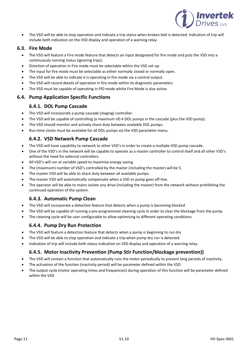

 The VSD will be able to stop operation and indicate a trip status when broken belt is detected. Indication of trip will include both indication on the VSD display and operation of a warning relay.

#### <span id="page-10-0"></span>**6.3. Fire Mode**

- The VSD will feature a Fire mode feature that detects an input designated for fire mode and puts the VSD into a continuously running status (ignoring trips).
- Direction of operation in Fire mode must be selectable within the VSD set-up
- The input for fire mode must be selectable as either normally closed or normally open.
- The VSD will be able to indicate it is operating in fire mode via a control output.
- The VSD will record details of operation in fire mode within its diagnostic parameters
- The VSD must be capable of operating in PID mode whilst Fire Mode is also active

#### <span id="page-10-2"></span><span id="page-10-1"></span>**6.4. Pump Application Specific Functions**

#### **6.4.1. DOL Pump Cascade**

- The VSD will incorporate a pump cascade (staging) controller.
- The VSD will be capable of controlling (a maximum of) 4 DOL pumps in the cascade (plus the VSD pump).
- The VSD should monitor and actively share duty between available DOL pumps.
- <span id="page-10-3"></span>Run-time clocks must be available for all DOL pumps via the VSD parameter menu.

#### **6.4.2. VSD Network Pump Cascade**

- The VSD will have capability to network to other VSD's in order to create a multiple VSD pump cascade.
- One of the VSD's in the network will be capable to operate as a master controller to control itself and all other VSD's without the need for external controllers.
- All VSD's will run at variable speed to maximise energy saving.
- The (maximum) number of VSD's controlled by the master (including the master) will be 5.
- The master VSD will be able to share duty between all available pumps.
- The master VSD will automatically compensate when a VSD or pump goes off-line.
- The operator will be able to mains isolate any drive (including the master) from the network without prohibiting the continued operation of the system.

#### **6.4.3. Automatic Pump Clean**

- <span id="page-10-4"></span>The VSD will incorporate a detection feature that detects when a pump is becoming blocked
- The VSD will be capable of running a pre-programmed cleaning cycle in order to clear the blockage from the pump.
- <span id="page-10-5"></span>The cleaning cycle will be user configurable to allow optimising to different operating conditions.

#### **6.4.4. Pump Dry Run Protection**

- The VSD will feature a detection feature that detects when a pump is beginning to run dry
- The VSD will be able to stop operation and indicate a trip when pump dry run is detected.
- <span id="page-10-6"></span>Indication of trip will include both status indication on VSD display and operation of a warning relay.

# **6.4.5. Motor Inactivity Prevention (Pump Stir Function/blockage prevention))**

- The VSD will contain a function that automatically runs the motor periodically to prevent long periods of inactivity.
- The activation of the function (inactivity period) will be parameter defined within the VSD.
- The output cycle (motor operating times and frequencies) during operation of this function will be parameter defined within the VSD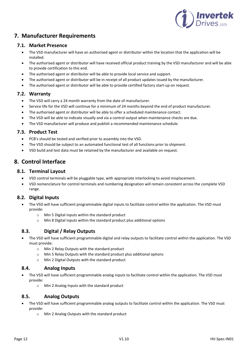

# <span id="page-11-0"></span>**7. Manufacturer Requirements**

#### <span id="page-11-1"></span>**7.1. Market Presence**

- The VSD manufacturer will have an authorised agent or distributor within the location that the application will be installed.
- The authorised agent or distributor will have received official product training by the VSD manufacturer and will be able to provide certification to this end.
- The authorised agent or distributor will be able to provide local service and support.
- The authorised agent or distributor will be in receipt of all product updates issued by the manufacturer.
- The authorised agent or distributor will be able to provide certified factory start-up on request.

#### <span id="page-11-2"></span>**7.2. Warranty**

- The VSD will carry a 24 month warranty from the date of manufacturer.
- Service life for the VSD will continue for a minimum of 24 months beyond the end of product manufacturer.
- The authorised agent or distributor will be able to offer a scheduled maintenance contact.
- The VSD will be able to indicate visually and via a control output when maintenance checks are due.
- The VSD manufacturer will produce and publish a recommended maintenance schedule.

#### <span id="page-11-3"></span>**7.3. Product Test**

- PCB's should be tested and verified prior to assembly into the VSD.
- The VSD should be subject to an automated functional test of all functions prior to shipment.
- VSD build and test data must be retained by the manufacturer and available on request.

# <span id="page-11-4"></span>**8. Control Interface**

#### <span id="page-11-5"></span>**8.1. Terminal Layout**

- VSD control terminals will be pluggable type, with appropriate interlocking to avoid misplacement.
- VSD nomenclature for control terminals and numbering designation will remain consistent across the complete VSD range.

#### <span id="page-11-6"></span>**8.2. Digital Inputs**

- The VSD will have sufficient programmable digital inputs to facilitate control within the application. The VSD must provide:
	- o Min 5 Digital inputs within the standard product
	- o Min 8 Digital inputs within the standard product plus additional options

# <span id="page-11-7"></span>**8.3. Digital / Relay Outputs**

- The VSD will have sufficient programmable digital and relay outputs to facilitate control within the application. The VSD must provide:
	- o Min 2 Relay Outputs with the standard product
	- o Min 5 Relay Outputs with the standard product plus additional options
	- o Min 2 Digital Outputs with the standard product

#### <span id="page-11-8"></span>**8.4. Analog Inputs**

- The VSD will have sufficient programmable analog inputs to facilitate control within the application. The VSD must provide:
	- o Min 2 Analog Inputs with the standard product

#### <span id="page-11-9"></span>**8.5. Analog Outputs**

- The VSD will have sufficient programmable analog outputs to facilitate control within the application. The VSD must provide:
	- o Min 2 Analog Outputs with the standard product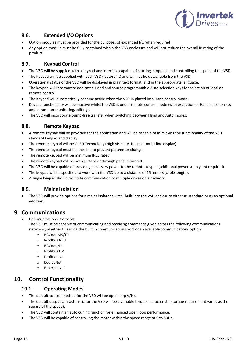

# <span id="page-12-0"></span>**8.6. Extended I/O Options**

- Option modules must be provided for the purposes of expanded I/O when required
- Any option module must be fully contained within the VSD enclosure and will not reduce the overall IP rating of the product.

## <span id="page-12-1"></span>**8.7. Keypad Control**

- The VSD will be supplied with a keypad and interface capable of starting, stopping and controlling the speed of the VSD.
- The Keypad will be supplied with each VSD (factory fit) and will not be detachable from the VSD.
- Operational status of the VSD will be displayed in plain text format, and in the appropriate language.
- The keypad will incorporate dedicated Hand and source programmable Auto selection keys for selection of local or remote control.
- The Keypad will automatically become active when the VSD in placed into Hand control mode.
- Keypad functionality will be inactive whilst the VSD is under remote control mode (with exception of Hand selection key and parameter monitoring/editing).
- The VSD will incorporate bump-free transfer when switching between Hand and Auto modes.

## <span id="page-12-2"></span>**8.8. Remote Keypad**

- A remote keypad will be provided for the application and will be capable of mimicking the functionality of the VSD standard keypad and display.
- The remote keypad will be OLED Technology (High visibility, full text, multi-line display)
- The remote keypad must be lockable to prevent parameter change.
- The remote keypad will be minimum IP55 rated
- The remote keypad will be both surface or through panel mounted.
- The VSD will be capable of providing necessary power to the remote keypad (additional power supply not required).
- The keypad will be specified to work with the VSD up to a distance of 25 meters (cable length).
- A single keypad should facilitate communication to multiple drives on a network.

#### <span id="page-12-3"></span>**8.9. Mains Isolation**

 The VSD will provide options for a mains isolator switch, built into the VSD enclosure either as standard or as an optional addition.

#### <span id="page-12-4"></span>**9. Communications**

Communications Protocols

The VSD must be capable of communicating and receiving commands given across the following communications networks, whether this is via the built in communications port or an available communications option:

- o BACnet MS/TP
- o Modbus RTU
- o BACnet /IP
- o Profibus DP
- o Profinet IO
- o DeviceNet
- o Ethernet / IP

# <span id="page-12-6"></span><span id="page-12-5"></span>**10. Control Functionality**

#### **10.1. Operating Modes**

- The default control method for the VSD will be open loop V/Hz.
- The default output characteristic for the VSD will be a variable torque characteristic (torque requirement varies as the square of the speed).
- The VSD will contain an auto-tuning function for enhanced open loop performance.
- The VSD will be capable of controlling the motor within the speed range of 5 to 50Hz.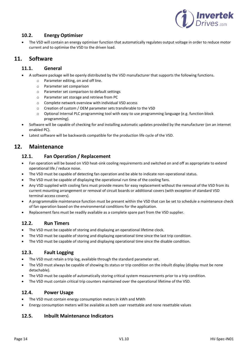

#### <span id="page-13-0"></span>**10.2. Energy Optimiser**

 The VSD will contain an energy optimiser function that automatically regulates output voltage in order to reduce motor current and to optimise the VSD to the driven load.

# <span id="page-13-2"></span><span id="page-13-1"></span>**11. Software**

#### **11.1. General**

- A software package will be openly distributed by the VSD manufacturer that supports the following functions.
	- o Parameter editing, on and off line.
	- o Parameter set comparison
	- o Parameter set comparison to default settings
	- o Parameter set storage and retrieve from PC
	- o Complete network overview with individual VSD access
	- o Creation of custom / OEM parameter sets transferable to the VSD
	- o Optional Internal PLC programming tool with easy to use programming language (e.g. function block programming).
- Software will be capable of checking for and installing automatic updates provided by the manufacturer (on an internet enabled PC).
- Latest software will be backwards compatible for the production life cycle of the VSD.

# <span id="page-13-4"></span><span id="page-13-3"></span>**12. Maintenance**

#### **12.1. Fan Operation / Replacement**

- Fan operation will be based on VSD heat-sink cooling requirements and switched on and off as appropriate to extend operational life / reduce noise.
- The VSD must be capable of detecting fan operation and be able to indicate non-operational status.
- The VSD must be capable of displaying the operational run time of the cooling fans.
- Any VSD supplied with cooling fans must provide means for easy replacement without the removal of the VSD from its current mounting arrangement or removal of circuit boards or additional covers (with exception of standard VSD terminal access covers).
- A programmable maintenance function must be present within the VSD that can be set to schedule a maintenance check of fan operation based on the environmental conditions for the application.
- <span id="page-13-5"></span>Replacement fans must be readily available as a complete spare part from the VSD supplier.

#### **12.2. Run Timers**

- The VSD must be capable of storing and displaying an operational lifetime clock.
- The VSD must be capable of storing and displaying operational time since the last trip condition.
- The VSD must be capable of storing and displaying operational time since the disable condition.

#### <span id="page-13-6"></span>**12.3. Fault Logging**

- The VSD must retain a trip log, available through the standard parameter set.
- The VSD must always be capable of showing its status or trip condition on the inbuilt display (display must be none detachable).
- The VSD must be capable of automatically storing critical system measurements prior to a trip condition.
- The VSD must contain critical trip counters maintained over the operational lifetime of the VSD.

#### <span id="page-13-7"></span>**12.4. Power Usage**

- The VSD must contain energy consumption meters in kWh and MWh
- <span id="page-13-8"></span>Energy consumption meters will be available as both user resettable and none resettable values

#### **12.5. Inbuilt Maintenance Indicators**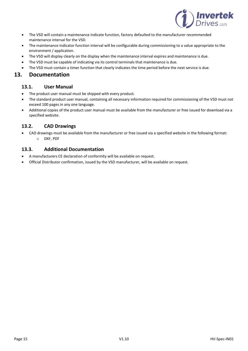

- The VSD will contain a maintenance indicate function, factory defaulted to the manufacturer recommended maintenance interval for the VSD.
- The maintenance indicator function interval will be configurable during commissioning to a value appropriate to the environment / application.
- The VSD will display clearly on the display when the maintenance interval expires and maintenance is due.
- The VSD must be capable of indicating via its control terminals that maintenance is due.
- The VSD must contain a timer function that clearly indicates the time period before the next service is due.

# <span id="page-14-1"></span><span id="page-14-0"></span>**13. Documentation**

#### **13.1. User Manual**

- The product user manual must be shipped with every product.
- The standard product user manual, containing all necessary information required for commissioning of the VSD must not exceed 100 pages in any one language.
- Additional copies of the product user manual must be available from the manufacturer or free issued for download via a specified website.

#### <span id="page-14-2"></span>**13.2. CAD Drawings**

 CAD drawings must be available from the manufacturer or free issued via a specified website in the following format: o DXF, PDF

#### <span id="page-14-3"></span>**13.3. Additional Documentation**

- A manufacturers CE declaration of conformity will be available on request.
- Official Distributor confirmation, issued by the VSD manufacturer, will be available on request.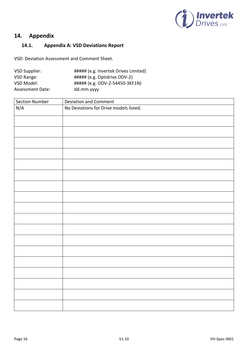

# <span id="page-15-1"></span><span id="page-15-0"></span>**14. Appendix**

# **14.1. Appendix A: VSD Deviations Report**

VSD: Deviation Assessment and Comment Sheet.

| VSD Supplier:    | ###### (e.g. Invertek Drives Limited) |
|------------------|---------------------------------------|
| VSD Range:       | ##### (e.g. Optidrive ODV-2)          |
| VSD Model:       | ##### (e.g. ODV-2-54450-3KF1N)        |
| Assessment Date: | dd.mm.yyyy                            |

| <b>Section Number</b> | Deviation and Comment                  |
|-----------------------|----------------------------------------|
| N/A                   | No Deviations for Drive models listed. |
|                       |                                        |
|                       |                                        |
|                       |                                        |
|                       |                                        |
|                       |                                        |
|                       |                                        |
|                       |                                        |
|                       |                                        |
|                       |                                        |
|                       |                                        |
|                       |                                        |
|                       |                                        |
|                       |                                        |
|                       |                                        |
|                       |                                        |
|                       |                                        |
|                       |                                        |
|                       |                                        |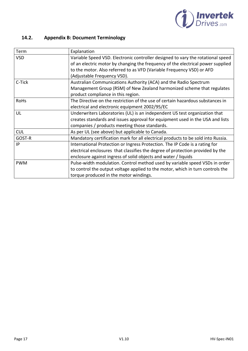

# <span id="page-16-0"></span>**14.2. Appendix B: Document Terminology**

| Term        | Explanation                                                                      |
|-------------|----------------------------------------------------------------------------------|
| <b>VSD</b>  | Variable Speed VSD. Electronic controller designed to vary the rotational speed  |
|             | of an electric motor by changing the frequency of the electrical power supplied  |
|             | to the motor. Also referred to as VFD (Variable Frequency VSD) or AFD            |
|             | (Adjustable Frequency VSD).                                                      |
| C-Tick      | Australian Communications Authority (ACA) and the Radio Spectrum                 |
|             | Management Group (RSM) of New Zealand harmonized scheme that regulates           |
|             | product compliance in this region.                                               |
| <b>RoHs</b> | The Directive on the restriction of the use of certain hazardous substances in   |
|             | electrical and electronic equipment 2002/95/EC                                   |
| UL          | Underwriters Laboratories (UL) is an independent US test organization that       |
|             | creates standards and issues approval for equipment used in the USA and lists    |
|             | companies / products meeting those standards.                                    |
| <b>CUL</b>  | As per UL (see above) but applicable to Canada.                                  |
| GOST-R      | Mandatory certification mark for all electrical products to be sold into Russia. |
| IP          | International Protection or Ingress Protection. The IP Code is a rating for      |
|             | electrical enclosures that classifies the degree of protection provided by the   |
|             | enclosure against ingress of solid objects and water / liquids                   |
| <b>PWM</b>  | Pulse-width modulation. Control method used by variable speed VSDs in order      |
|             | to control the output voltage applied to the motor, which in turn controls the   |
|             | torque produced in the motor windings.                                           |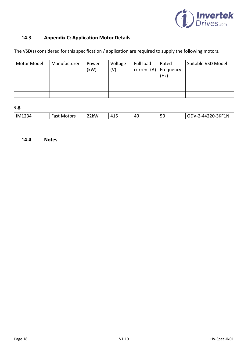

# <span id="page-17-0"></span>**14.3. Appendix C: Application Motor Details**

The VSD(s) considered for this specification / application are required to supply the following motors.

| Motor Model | Manufacturer | Power<br>(kW) | Voltage<br>(V) | Full load<br>current $(A)$   Frequency | Rated<br>(Hz) | Suitable VSD Model |
|-------------|--------------|---------------|----------------|----------------------------------------|---------------|--------------------|
|             |              |               |                |                                        |               |                    |
|             |              |               |                |                                        |               |                    |
|             |              |               |                |                                        |               |                    |

e.g.

| $\sim$ $\sim$ $\sim$<br>50<br>IM123<br>3KF1N<br>$\sqrt{11}$<br>∠2kW<br>20-1<br>ast<br>71 C<br>$\mathbf{u}$<br>'otors<br>-34<br>M<br>$\cdots$<br>. . J<br>.<br>$\sim$ |
|----------------------------------------------------------------------------------------------------------------------------------------------------------------------|
|----------------------------------------------------------------------------------------------------------------------------------------------------------------------|

<span id="page-17-1"></span>**14.4. Notes**